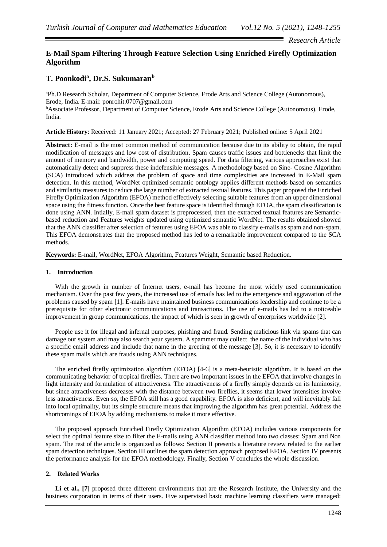## *Research Article*

# **E-Mail Spam Filtering Through Feature Selection Using Enriched Firefly Optimization Algorithm**

# **T. Poonkodi<sup>a</sup> , Dr.S. Sukumaran<sup>b</sup>**

<sup>a</sup>Ph.D Research Scholar, Department of Computer Science, Erode Arts and Science College (Autonomous), Erode, India. E-mail: ponrohit.0707@gmail.com <sup>b</sup>Associate Professor, Department of Computer Science, Erode Arts and Science College (Autonomous), Erode, India.

**Article History**: Received: 11 January 2021; Accepted: 27 February 2021; Published online: 5 April 2021

**Abstract:** E-mail is the most common method of communication because due to its ability to obtain, the rapid modification of messages and low cost of distribution. Spam causes traffic issues and bottlenecks that limit the amount of memory and bandwidth, power and computing speed. For data filtering, various approaches exist that automatically detect and suppress these indefensible messages. A methodology based on Sine- Cosine Algorithm (SCA) introduced which address the problem of space and time complexities are increased in E-Mail spam detection. In this method, WordNet optimized semantic ontology applies different methods based on semantics and similarity measures to reduce the large number of extracted textual features. This paper proposed the Enriched Firefly Optimization Algorithm (EFOA) method effectively selecting suitable features from an upper dimensional space using the fitness function. Once the best feature space is identified through EFOA, the spam classification is done using ANN. Intially, E-mail spam dataset is preprocessed, then the extracted textual features are Semanticbased reduction and Features weights updated using optimized semantic WordNet. The results obtained showed that the ANN classifier after selection of features using EFOA was able to classify e-mails as spam and non-spam. This EFOA demonstrates that the proposed method has led to a remarkable improvement compared to the SCA methods.

**Keywords:** E-mail, WordNet, EFOA Algorithm, Features Weight, Semantic based Reduction.

## **1. Introduction**

With the growth in number of Internet users, e-mail has become the most widely used communication mechanism. Over the past few years, the increased use of emails has led to the emergence and aggravation of the problems caused by spam [1]. E-mails have maintained business communications leadership and continue to be a prerequisite for other electronic communications and transactions. The use of e-mails has led to a noticeable improvement in group communications, the impact of which is seen in growth of enterprises worldwide [2].

People use it for illegal and infernal purposes, phishing and fraud. Sending malicious link via spams that can damage our system and may also search your system. A spammer may collect the name of the individual who has a specific email address and include that name in the greeting of the message [3]. So, it is necessary to identify these spam mails which are frauds using ANN techniques.

The enriched firefly optimization algorithm (EFOA) [4-6] is a meta-heuristic algorithm. It is based on the communicating behavior of tropical fireflies. There are two important issues in the EFOA that involve changes in light intensity and formulation of attractiveness. The attractiveness of a firefly simply depends on its luminosity, but since attractiveness decreases with the distance between two fireflies, it seems that lower intensities involve less attractiveness. Even so, the EFOA still has a good capability. EFOA is also deficient, and will inevitably fall into local optimality, but its simple structure means that improving the algorithm has great potential. Address the shortcomings of EFOA by adding mechanisms to make it more effective.

The proposed approach Enriched Firefly Optimization Algorithm (EFOA) includes various components for select the optimal feature size to filter the E-mails using ANN classifier method into two classes: Spam and Non spam. The rest of the article is organized as follows: Section II presents a literature review related to the earlier spam detection techniques. Section III outlines the spam detection approach proposed EFOA. Section IV presents the performance analysis for the EFOA methodology. Finally, Section V concludes the whole discussion.

## **2. Related Works**

Li et al., [7] proposed three different environments that are the Research Institute, the University and the business corporation in terms of their users. Five supervised basic machine learning classifiers were managed: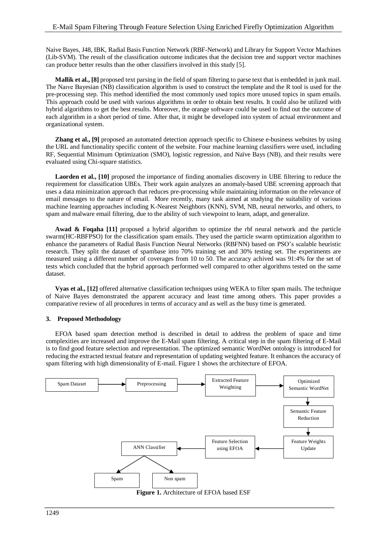Naive Bayes, J48, IBK, Radial Basis Function Network (RBF-Network) and Library for Support Vector Machines (Lib-SVM). The result of the classification outcome indicates that the decision tree and support vector machines can produce better results than the other classifiers involved in this study [5].

**Mallik et al., [8]** proposed text parsing in the field of spam filtering to parse text that is embedded in junk mail. The Naıve Bayesian (NB) classification algorithm is used to construct the template and the R tool is used for the pre-processing step. This method identified the most commonly used topics more unused topics in spam emails. This approach could be used with various algorithms in order to obtain best results. It could also be utilized with hybrid algorithms to get the best results. Moreover, the orange software could be used to find out the outcome of each algorithm in a short period of time. After that, it might be developed into system of actual environment and organizational system.

**Zhang et al., [9]** proposed an automated detection approach specific to Chinese e-business websites by using the URL and functionality specific content of the website. Four machine learning classifiers were used, including RF, Sequential Minimum Optimization (SMO), logistic regression, and Naïve Bays (NB), and their results were evaluated using Chi-square statistics.

**Laorden et al., [10]** proposed the importance of finding anomalies discovery in UBE filtering to reduce the requirement for classification UBEs. Their work again analyzes an anomaly-based UBE screening approach that uses a data minimization approach that reduces pre-processing while maintaining information on the relevance of email messages to the nature of email. More recently, many task aimed at studying the suitability of various machine learning approaches including K-Nearest Neighbors (KNN), SVM, NB, neural networks, and others, to spam and malware email filtering, due to the ability of such viewpoint to learn, adapt, and generalize.

Awad & Foqaha [11] proposed a hybrid algorithm to optimize the rbf neural network and the particle swarm(HC-RBFPSO) for the classification spam emails. They used the particle swarm optimization algorithm to enhance the parameters of Radial Basis Function Neural Networks (RBFNN) based on PSO's scalable heuristic research. They split the dataset of spambase into 70% training set and 30% testing set. The experiments are measured using a different number of coverages from 10 to 50. The accuracy achived was 91:4% for the set of tests which concluded that the hybrid approach performed well compared to other algorithms tested on the same dataset.

**Vyas et al., [12]** offered alternative classification techniques using WEKA to filter spam mails. The technique of Naive Bayes demonstrated the apparent accuracy and least time among others. This paper provides a comparative review of all procedures in terms of accuracy and as well as the busy time is generated.

## **3. Proposed Methodology**

EFOA based spam detection method is described in detail to address the problem of space and time complexities are increased and improve the E-Mail spam filtering. A critical step in the spam filtering of E-Mail is to find good feature selection and representation. The optimized semantic WordNet ontology is introduced for reducing the extracted textual feature and representation of updating weighted feature. It enhances the accuracy of spam filtering with high dimensionality of E-mail. Figure 1 shows the architecture of EFOA.



**Figure 1.** Architecture of EFOA based ESF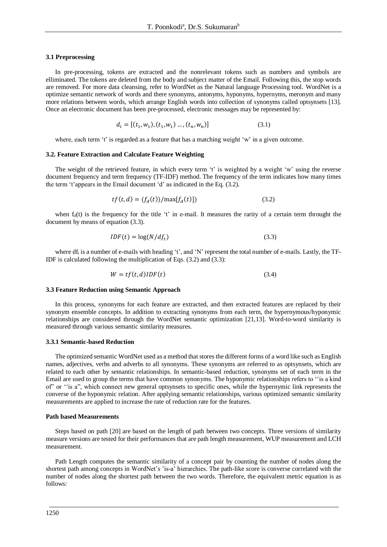#### **3.1 Preprocessing**

In pre-processing, tokens are extracted and the nonrelevant tokens such as numbers and symbols are elliminated. The tokens are deleted from the body and subject matter of the Email. Following this, the stop words are removed. For more data cleansing, refer to WordNet as the Natural language Processing tool. WordNet is a optimize semantic network of words and there synonyms, antonyms, hyponyms, hypernyms, meronym and many more relations between words, which arrange English words into collection of synonyms called optsynsets [13]. Once an electronic document has been pre-processed, electronic messages may be represented by:

$$
d_i = [(t_1, w_1), (t_1, w_1) \dots, (t_n, w_n)]
$$
\n(3.1)

where, each term 't' is regarded as a feature that has a matching weight 'w' in a given outcome.

#### **3.2. Feature Extraction and Calculate Feature Weighting**

The weight of the retrieved feature, in which every term 't' is weighted by a weight 'w' using the reverse document frequency and term frequency (TF-IDF) method. The frequency of the term indicates how many times the term 't'appears in the Email document 'd' as indicated in the Eq. (3.2).

$$
tf(t, d) = (f_d(t))/\max[f_d(t)])
$$
\n(3.2)

when  $f_d(t)$  is the frequency for the title 't' in e-mail. It measures the rarity of a certain term throught the document by means of equation (3.3).

$$
IDF(t) = \log(N/df_t) \tag{3.3}
$$

where df<sub>t</sub> is a number of e-mails with heading 't', and 'N' represent the total number of e-mails. Lastly, the TF-IDF is calculated following the multiplication of Eqs. (3.2) and (3.3):

$$
W = tf(t, d)IDF(t)
$$
\n(3.4)

#### **3.3 Feature Reduction using Semantic Approach**

In this process, synonyms for each feature are extracted, and then extracted features are replaced by their synonym ensemble concepts. In addition to extracting synonyms from each term, the hypernymous/hyponymic relationships are considered through the WordNet semantic optimization [21,13]. Word-to-word similarity is measured through various semantic similarity measures.

## **3.3.1 Semantic-based Reduction**

The optimized semantic WordNet used as a method that stores the different forms of a word like such as English names, adjectives, verbs and adverbs to all synonyms. These synonyms are referred to as optsynsets, which are related to each other by semantic relationships. In semantic-based reduction, synonyms set of each term in the Email are used to group the terms that have common synonyms. The hyponymic relationships refers to ''is a kind of" or ''is a", which connect new general optsynsets to specific ones, while the hypernymic link represents the converse of the hyponymic relation. After applying semantic relationships, various optimized semantic similarity measurements are applied to increase the rate of reduction rate for the features.

#### **Path based Measurements**

Steps based on path [20] are based on the length of path between two concepts. Three versions of similarity measure versions are tested for their performances that are path length measurement, WUP measurement and LCH measurement.

Path Length computes the semantic similarity of a concept pair by counting the number of nodes along the shortest path among concepts in WordNet's 'is-a' hierarchies. The path-like score is converse correlated with the number of nodes along the shortest path between the two words. Therefore, the equivalent metric equation is as follows: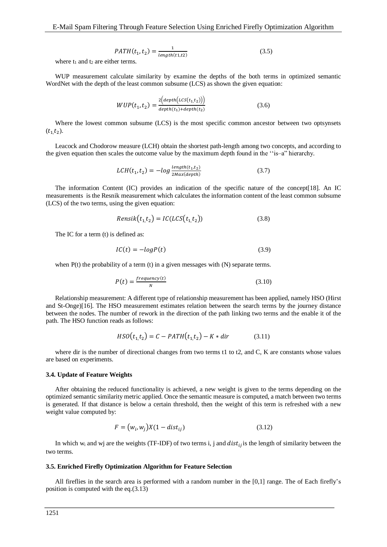$$
PATH(t_1, t_2) = \frac{1}{length(t_1, t_2)}
$$
\n(3.5)

where  $t_1$  and  $t_2$  are either terms.

WUP measurement calculate similarity by examine the depths of the both terms in optimized semantic WordNet with the depth of the least common subsume (LCS) as shown the given equation:

$$
WUP(t_1, t_2) = \frac{2\left(\frac{depth(LCS(t_1, t_2))}{depth(t_1) + depth(t_2)}\right)}{(3.6)}
$$

Where the lowest common subsume (LCS) is the most specific common ancestor between two optsynsets  $(t_1, t_2)$ .

Leacock and Chodorow measure (LCH) obtain the shortest path-length among two concepts, and according to the given equation then scales the outcome value by the maximum depth found in the ''is–a" hierarchy.

$$
LCH(t_1, t_2) = -\log \frac{\text{length}(t_1, t_2)}{\text{2} \text{Max}(\text{depth})}
$$
\n(3.7)

The information Content (IC) provides an indication of the specific nature of the concept[18]. An IC measurements is the Resnik measurement which calculates the information content of the least common subsume (LCS) of the two terms, using the given equation:

$$
Rensik(t_1, t_2) = IC(LCS(t_1, t_2))
$$
\n(3.8)

The IC for a term (t) is defined as:

$$
IC(t) = -logP(t) \tag{3.9}
$$

when P(t) the probability of a term (t) in a given messages with (N) separate terms.

$$
P(t) = \frac{frequency(t)}{N}
$$
\n(3.10)

Relationship measurement: A different type of relationship measurement has been applied, namely HSO (Hirst and St-Onge)[16]. The HSO measurement estimates relation between the search terms by the journey distance between the nodes. The number of rework in the direction of the path linking two terms and the enable it of the path. The HSO function reads as follows:

$$
HSO(t_1, t_2) = C - PATH(t_1, t_2) - K * dir \tag{3.11}
$$

where dir is the number of directional changes from two terms t1 to t2, and C, K are constants whose values are based on experiments.

#### **3.4. Update of Feature Weights**

After obtaining the reduced functionality is achieved, a new weight is given to the terms depending on the optimized semantic similarity metric applied. Once the semantic measure is computed, a match between two terms is generated. If that distance is below a certain threshold, then the weight of this term is refreshed with a new weight value computed by:

$$
F = (w_i, w_j)X(1 - dist_{ij})
$$
\n(3.12)

In which w<sub>i</sub> and wj are the weights (TF-IDF) of two terms i, j and  $dist_{ij}$  is the length of similarity between the two terms.

## **3.5. Enriched Firefly Optimization Algorithm for Feature Selection**

All fireflies in the search area is performed with a random number in the [0,1] range. The of Each firefly's position is computed with the eq.(3.13)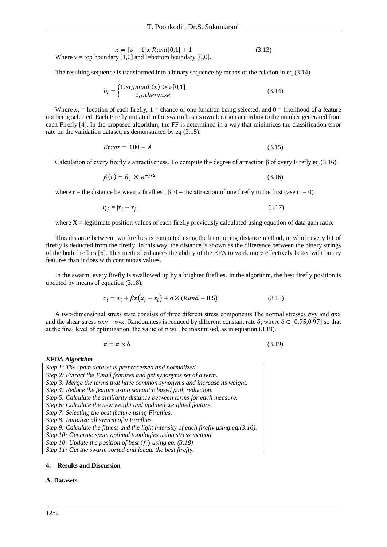$$
x = [v - 1]x Rand[0,1] + 1
$$
 (3.13)  
Where v = top boundary [1,0] and l=bottom boundary [0,0].

The resulting sequence is transformed into a binary sequence by means of the relation in eq (3.14).

$$
b_i = \begin{cases} 1, sigmoid(x) > v[0,1] \\ 0, otherwise \end{cases}
$$
 (3.14)

Where  $x_i$  = location of each firefly, 1 = chance of one function being selected, and 0 = likelihood of a feature not being selected. Each Firefly initiated in the swarm has its own location according to the number generated from each Firefly [4]. In the proposed algorithm, the FF is determined in a way that minimizes the classification error rate on the validation dataset, as demonstrated by eq (3.15).

$$
Error = 100 - A \tag{3.15}
$$

Calculation of every firefly's attractiveness. To compute the degree of attraction β of every Firefly eq.(3.16).

$$
\beta(r) = \beta_0 \times e^{-\gamma r^2} \tag{3.16}
$$

where r = the distance between 2 fireflies,  $\beta$  0 = the attraction of one firefly in the first case (r = 0).

$$
r_{ij} = |x_i - x_j| \tag{3.17}
$$

where  $X =$  legitimate position values of each firefly previously calculated using equation of data gain ratio.

This distance between two fireflies is computed using the hammering distance method, in which every bit of firefly is deducted from the firefly. In this way, the distance is shown as the difference between the binary strings of the both fireflies [6]. This method enhances the ability of the EFA to work more effectively better with binary features than it does with continuous values.

In the swarm, every firefly is swallowed up by a brighter fireflies. In the algorithm, the best firefly position is updated by means of equation (3.18).

$$
x_i = x_i + \beta x (x_j - x_i) + \alpha \times (Rand - 0.5)
$$
\n(3.18)

A two-dimensional stress state consists of three diferent stress components.The normal stresses σyy and σxx and the shear stress  $\sigma xy = \sigma yx$ . Randomness is reduced by different constant rate  $\delta$ , where  $\delta \in [0.95, 0.97]$  so that at the final level of optimization, the value of  $\alpha$  will be maximised, as in equation (3.19).

$$
\alpha = \alpha \times \delta \tag{3.19}
$$

#### *EFOA Algorithm*

- *Step 1: The spam dataset is preprocessed and normalized.*
- *Step 2: Extract the Email features and get synonyms set of a term.*

- *Step 4: Reduce the feature using semantic based path reduction.*
- *Step 5: Calculate the similarity distance between terms for each measure.*
- *Step 6: Calculate the new weight and updated weighted feature.*
- *Step 7: Selecting the best feature using Fireflies.*

*Step 8: Initialize all swarm of n Fireflies.*

*Step 9: Calculate the fitness and the light intensity of each firefly using.eq.(3.16).*

*Step 10: Generate spam optimal topologies using stress method.*

*Step 10: Update the position of best*  $(f_i)$  *using eq.* (3.18)

*Step 11: Get the swarm sorted and locate the best firefly.*

## **4. Results and Discussion**

### **A. Datasets**

*Step 3: Merge the terms that have common synonyms and increase its weight.*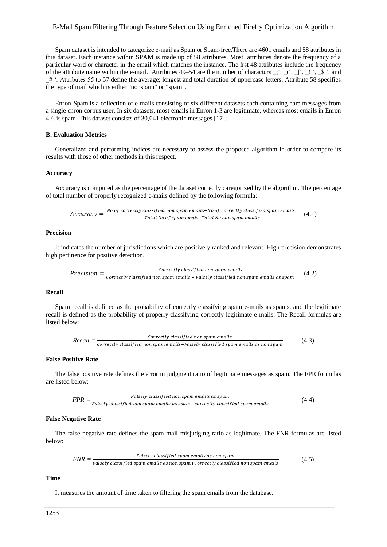Spam dataset is intended to categorize e-mail as Spam or Spam-free.There are 4601 emails and 58 attributes in this dataset. Each instance within SPAM is made up of 58 attributes. Most attributes denote the frequency of a particular word or character in the email which matches the instance. The frst 48 attributes include the frequency of the attribute name within the e-mail. Attributes 49–54 are the number of characters  $\therefore$ ,  $\therefore$   $\therefore$   $\therefore$   $\therefore$   $\therefore$   $\therefore$   $\therefore$   $\therefore$   $\therefore$   $\therefore$   $\therefore$   $\therefore$   $\therefore$   $\therefore$   $\therefore$   $\therefore$   $\therefore$   $\therefore$   $\therefore$   $\therefore$   $\therefore$  ‗# '. Attributes 55 to 57 define the average; longest and total duration of uppercase letters. Attribute 58 specifies the type of mail which is either "nonspam" or "spam".

Enron-Spam is a collection of e-mails consisting of six different datasets each containing ham messages from a single enron corpus user. In six datasets, most emails in Enron 1-3 are legitimate, whereas most emails in Enron 4-6 is spam. This dataset consists of 30,041 electronic messages [17].

### **B. Evaluation Metrics**

Generalized and performing indices are necessary to assess the proposed algorithm in order to compare its results with those of other methods in this respect.

#### **Accuracy**

Accuracy is computed as the percentage of the dataset correctly caregorized by the algorithm. The percentage of total number of properly recognized e-mails defined by the following formula:

$$
Accuracy = \frac{No\ of\ correctly\ classified\ non\ spam\ emails+No\ of\ correctly\ classified\ spam\ emails}{Total\ No\ of\ spam\ emails+Total\ No\ non\ spam\ emails}
$$
 (4.1)

## **Precision**

It indicates the number of jurisdictions which are positively ranked and relevant. High precision demonstrates high pertinence for positive detection.

*Precision* = 
$$
\frac{Correctly classified non spam emails}{correctly classified non spam emails + Falsely classified non spam emails as spam}
$$
 (4.2)

## **Recall**

Spam recall is defined as the probability of correctly classifying spam e-mails as spams, and the legitimate recall is defined as the probability of properly classifying correctly legitimate e-mails. The Recall formulas are listed below:

Recall = 
$$
\frac{Correctly\ classified\ non\ spam\ emails}{correctly\ classified\ non\ spam\ emails +Falsely\ classified\ spam\ emails\ as\ non\ spam} \tag{4.3}
$$

## **False Positive Rate**

The false positive rate defines the error in judgment ratio of legitimate messages as spam. The FPR formulas are listed below:

$$
FPR = \frac{Falsely classified non spam emails as spam}{Falsely classified non spam emails as spam + correctly classified spam emails}
$$
 (4.4)

#### **False Negative Rate**

The false negative rate defines the spam mail misjudging ratio as legitimate. The FNR formulas are listed below:

$$
FNR = \frac{Falsely \ classified \ span \ emails \ as \ non \ spam}{Falsely \ classified \ spam \ emails \ as \ non \ spam + correctly \ classified \ non \ spam \ emails} \tag{4.5}
$$

#### **Time**

It measures the amount of time taken to filtering the spam emails from the database.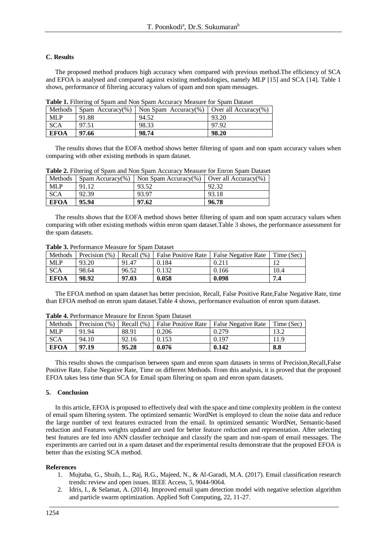## **C. Results**

The proposed method produces high accuracy when compared with previous method.The efficiency of SCA and EFOA is analysed and compared against existing methodologies, namely MLP [15] and SCA [14]. Table 1 shows, performance of filtering accuracy values of spam and non spam messages.

| Tuon Trinoinia of obuni una fion obuni ricculuo riteabule for obuni Dunabel |       |                                                                |       |  |
|-----------------------------------------------------------------------------|-------|----------------------------------------------------------------|-------|--|
| Methods                                                                     |       | Spam Accuracy(%)   Non Spam Accuracy(%)   Over all Accuracy(%) |       |  |
| <b>MLP</b>                                                                  | 91.88 | 94.52                                                          | 93.20 |  |
| <b>SCA</b>                                                                  | 97.51 | 98.33                                                          | 97.92 |  |
| <b>EFOA</b>                                                                 | 97.66 | 98.74                                                          | 98.20 |  |

**Table 1.** Filtering of Spam and Non Spam Accuracy Measure for Spam Dataset

The results shows that the EOFA method shows better filtering of spam and non spam accuracy values when comparing with other existing methods in spam dataset.

| <b>Methods</b> |       | Spam Accuracy(%)   Non Spam Accuracy(%) | Over all Accuracy(%) |
|----------------|-------|-----------------------------------------|----------------------|
| <b>MLP</b>     | 91.12 | 93.52                                   |                      |
| SCA            | 92.39 | 93.97                                   | 93.18                |
| <b>EFOA</b>    | 95.94 | 97.62                                   | 96.78                |

**Table 2.** Filtering of Spam and Non Spam Accuracy Measure for Enron Spam Dataset

The results shows that the EOFA method shows better filtering of spam and non spam accuracy values when comparing with other existing methods within enron spam dataset.Table 3 shows, the performance assessment for the spam datasets.

| Methods     | Precision (%) | Recall $(\%)$ | <b>False Positive Rate</b> | <b>False Negative Rate</b> | Time (Sec) |
|-------------|---------------|---------------|----------------------------|----------------------------|------------|
| <b>MLP</b>  | 93.20         | 91.47         | 0.184                      | 0.211                      |            |
| <b>SCA</b>  | 98.64         | 96.52         | 0.132                      | 0.166                      | 10.4       |
| <b>EFOA</b> | 98.92         | 97.03         | 0.058                      | 0.098                      | 7.4        |

**Table 3.** Performance Measure for Spam Dataset

The EFOA method on spam dataset has better precision, Recall, False Positive Rate,False Negative Rate, time than EFOA method on enron spam dataset.Table 4 shows, performance evaluation of enron spam dataset.

| <b>Table 4.</b> Ferrormance incasure for Emron Spain Datasct |               |                |                            |                            |            |
|--------------------------------------------------------------|---------------|----------------|----------------------------|----------------------------|------------|
| Methods                                                      | Precision (%) | Recall $(\% )$ | <b>False Positive Rate</b> | <b>False Negative Rate</b> | Time (Sec) |
| <b>MLP</b>                                                   | 91.94         | 88.91          | 0.206                      | 0.279                      |            |
| <b>SCA</b>                                                   | 94.10         | 92.16          | 0.153                      | 0.197                      | 11.9       |
| <b>EFOA</b>                                                  | 97.19         | 95.28          | 0.076                      | 0.142                      | 8.8        |

**Table 4.** Performance Measure for Enron Spam Dataset

This results shows the comparison between spam and enron spam datasets in terms of Precision,Recall,False Positive Rate, False Negative Rate, Time on different Methods. From this analysis, it is proved that the proposed EFOA takes less time than SCA for Email spam filtering on spam and enron spam datasets.

### **5. Conclusion**

In this article, EFOA is proposed to effectively deal with the space and time complexity problem in the context of email spam filtering system. The optimized semantic WordNet is employed to clean the noise data and reduce the large number of text features extracted from the email. In optimized semantic WordNet, Semantic-based reduction and Features weights updated are used for better feature reduction and representation. After selecting best features are fed into ANN classfier technique and classify the spam and non-spam of email messages. The experiments are carried out in a spam dataset and the experimental results demonstrate that the proposed EFOA is better than the existing SCA method.

### **References**

- 1. Mujtaba, G., Shuib, L., Raj, R.G., Majeed, N., & Al-Garadi, M.A. (2017). Email classification research trends: review and open issues. IEEE Access, 5, 9044-9064.
- 2. Idris, I., & Selamat, A. (2014). Improved email spam detection model with negative selection algorithm and particle swarm optimization. Applied Soft Computing, 22, 11-27.